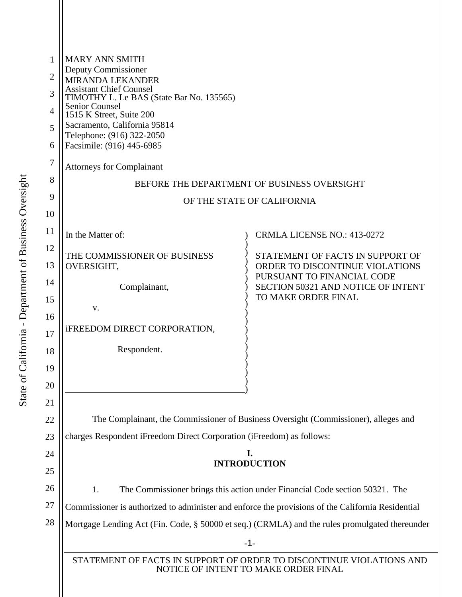| 1              | <b>MARY ANN SMITH</b><br>Deputy Commissioner                                                                 |                                                               |  |  |  |  |
|----------------|--------------------------------------------------------------------------------------------------------------|---------------------------------------------------------------|--|--|--|--|
| $\overline{2}$ | MIRANDA LEKANDER                                                                                             |                                                               |  |  |  |  |
| 3              | <b>Assistant Chief Counsel</b><br>TIMOTHY L. Le BAS (State Bar No. 135565)                                   |                                                               |  |  |  |  |
| $\overline{4}$ | <b>Senior Counsel</b><br>1515 K Street, Suite 200                                                            |                                                               |  |  |  |  |
| 5              | Sacramento, California 95814                                                                                 |                                                               |  |  |  |  |
| 6              | Telephone: (916) 322-2050<br>Facsimile: (916) 445-6985                                                       |                                                               |  |  |  |  |
| 7              | <b>Attorneys for Complainant</b>                                                                             |                                                               |  |  |  |  |
| 8              | BEFORE THE DEPARTMENT OF BUSINESS OVERSIGHT                                                                  |                                                               |  |  |  |  |
| 9              | OF THE STATE OF CALIFORNIA                                                                                   |                                                               |  |  |  |  |
| 10             |                                                                                                              |                                                               |  |  |  |  |
| 11             | In the Matter of:                                                                                            | <b>CRMLA LICENSE NO.: 413-0272</b>                            |  |  |  |  |
| 12             | THE COMMISSIONER OF BUSINESS                                                                                 | STATEMENT OF FACTS IN SUPPORT OF                              |  |  |  |  |
| 13             | OVERSIGHT,                                                                                                   | ORDER TO DISCONTINUE VIOLATIONS<br>PURSUANT TO FINANCIAL CODE |  |  |  |  |
| 14             | Complainant,                                                                                                 | <b>SECTION 50321 AND NOTICE OF INTENT</b>                     |  |  |  |  |
| 15             | V.                                                                                                           | TO MAKE ORDER FINAL                                           |  |  |  |  |
| 16             |                                                                                                              |                                                               |  |  |  |  |
| 17             | iFREEDOM DIRECT CORPORATION,                                                                                 |                                                               |  |  |  |  |
| 18             | Respondent.                                                                                                  |                                                               |  |  |  |  |
| 19             |                                                                                                              |                                                               |  |  |  |  |
| 20             |                                                                                                              |                                                               |  |  |  |  |
| 21             |                                                                                                              |                                                               |  |  |  |  |
| 22             | The Complainant, the Commissioner of Business Oversight (Commissioner), alleges and                          |                                                               |  |  |  |  |
| 23             | charges Respondent iFreedom Direct Corporation (iFreedom) as follows:                                        |                                                               |  |  |  |  |
| 24             | I.                                                                                                           |                                                               |  |  |  |  |
| 25             | <b>INTRODUCTION</b>                                                                                          |                                                               |  |  |  |  |
| 26             | 1.<br>The Commissioner brings this action under Financial Code section 50321. The                            |                                                               |  |  |  |  |
| 27             | Commissioner is authorized to administer and enforce the provisions of the California Residential            |                                                               |  |  |  |  |
| 28             | Mortgage Lending Act (Fin. Code, § 50000 et seq.) (CRMLA) and the rules promulgated thereunder               |                                                               |  |  |  |  |
|                | $-1-$                                                                                                        |                                                               |  |  |  |  |
|                | STATEMENT OF FACTS IN SUPPORT OF ORDER TO DISCONTINUE VIOLATIONS AND<br>NOTICE OF INTENT TO MAKE ORDER FINAL |                                                               |  |  |  |  |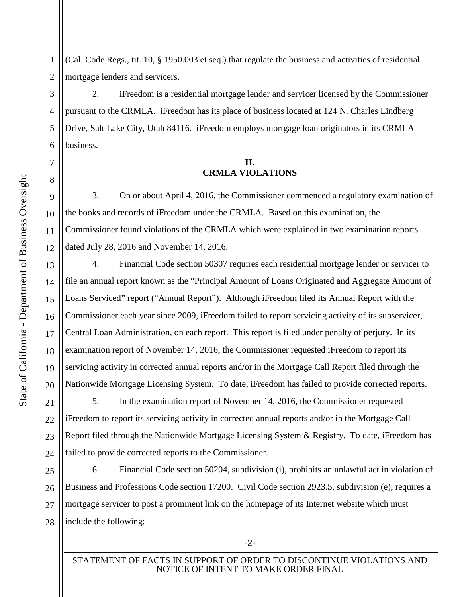State of California - Department of Business Oversight State of California - Department of Business Oversight 7

8

9

10

11

12

13

14

15

16

17

18

19

20

1 2 (Cal. Code Regs., tit. 10, § 1950.003 et seq.) that regulate the business and activities of residential mortgage lenders and servicers.

3 4 5 6 2. iFreedom is a residential mortgage lender and servicer licensed by the Commissioner pursuant to the CRMLA. iFreedom has its place of business located at 124 N. Charles Lindberg Drive, Salt Lake City, Utah 84116. iFreedom employs mortgage loan originators in its CRMLA business.

## **II. CRMLA VIOLATIONS**

3. On or about April 4, 2016, the Commissioner commenced a regulatory examination of the books and records of iFreedom under the CRMLA. Based on this examination, the Commissioner found violations of the CRMLA which were explained in two examination reports dated July 28, 2016 and November 14, 2016.

4. Financial Code section 50307 requires each residential mortgage lender or servicer to file an annual report known as the "Principal Amount of Loans Originated and Aggregate Amount of Loans Serviced" report ("Annual Report"). Although iFreedom filed its Annual Report with the Commissioner each year since 2009, iFreedom failed to report servicing activity of its subservicer, Central Loan Administration, on each report. This report is filed under penalty of perjury. In its examination report of November 14, 2016, the Commissioner requested iFreedom to report its servicing activity in corrected annual reports and/or in the Mortgage Call Report filed through the Nationwide Mortgage Licensing System. To date, iFreedom has failed to provide corrected reports.

21 22 23 24 5. In the examination report of November 14, 2016, the Commissioner requested iFreedom to report its servicing activity in corrected annual reports and/or in the Mortgage Call Report filed through the Nationwide Mortgage Licensing System & Registry. To date, iFreedom has failed to provide corrected reports to the Commissioner.

25 26 27 28 6. Financial Code section 50204, subdivision (i), prohibits an unlawful act in violation of Business and Professions Code section 17200. Civil Code section 2923.5, subdivision (e), requires a mortgage servicer to post a prominent link on the homepage of its Internet website which must include the following:

STATEMENT OF FACTS IN SUPPORT OF ORDER TO DISCONTINUE VIOLATIONS AND NOTICE OF INTENT TO MAKE ORDER FINAL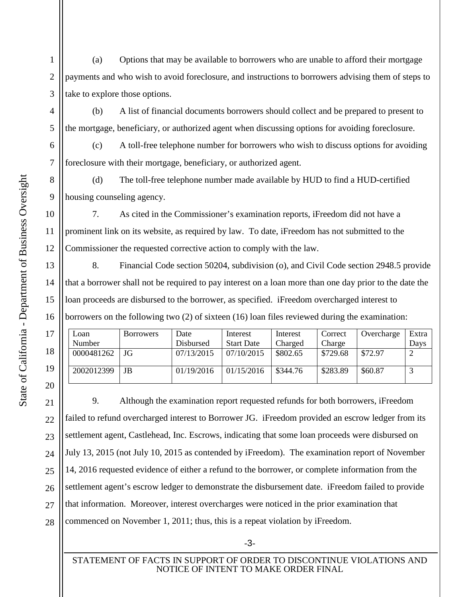1 2 3 (a) Options that may be available to borrowers who are unable to afford their mortgage payments and who wish to avoid foreclosure, and instructions to borrowers advising them of steps to take to explore those options.

(b) A list of financial documents borrowers should collect and be prepared to present to the mortgage, beneficiary, or authorized agent when discussing options for avoiding foreclosure.

(c) A toll-free telephone number for borrowers who wish to discuss options for avoiding foreclosure with their mortgage, beneficiary, or authorized agent.

(d) The toll-free telephone number made available by HUD to find a HUD-certified housing counseling agency.

7. As cited in the Commissioner's examination reports, iFreedom did not have a prominent link on its website, as required by law. To date, iFreedom has not submitted to the Commissioner the requested corrective action to comply with the law.

8. Financial Code section 50204, subdivision (o), and Civil Code section 2948.5 provide that a borrower shall not be required to pay interest on a loan more than one day prior to the date the loan proceeds are disbursed to the borrower, as specified. iFreedom overcharged interest to borrowers on the following two (2) of sixteen (16) loan files reviewed during the examination:

| Loan<br>Number | <b>Borrowers</b> | Date<br>Disbursed | Interest<br><b>Start Date</b> | Interest<br>Charged | Correct<br>Charge | Overcharge | Extra<br>Davs |
|----------------|------------------|-------------------|-------------------------------|---------------------|-------------------|------------|---------------|
| 0000481262     | JG               | 07/13/2015        | 07/10/2015                    | \$802.65            | \$729.68          | \$72.97    |               |
| 2002012399     | JB               | 01/19/2016        | 01/15/2016                    | \$344.76            | \$283.89          | \$60.87    |               |

9. Although the examination report requested refunds for both borrowers, iFreedom failed to refund overcharged interest to Borrower JG. iFreedom provided an escrow ledger from its settlement agent, Castlehead, Inc. Escrows, indicating that some loan proceeds were disbursed on July 13, 2015 (not July 10, 2015 as contended by iFreedom). The examination report of November 14, 2016 requested evidence of either a refund to the borrower, or complete information from the settlement agent's escrow ledger to demonstrate the disbursement date. iFreedom failed to provide that information. Moreover, interest overcharges were noticed in the prior examination that commenced on November 1, 2011; thus, this is a repeat violation by iFreedom.

4

5

6

7

8

9

10

11

12

13

14

15

16

17

18

19

20

21

22

23

24

25

26

27

28

-3-

STATEMENT OF FACTS IN SUPPORT OF ORDER TO DISCONTINUE VIOLATIONS AND NOTICE OF INTENT TO MAKE ORDER FINAL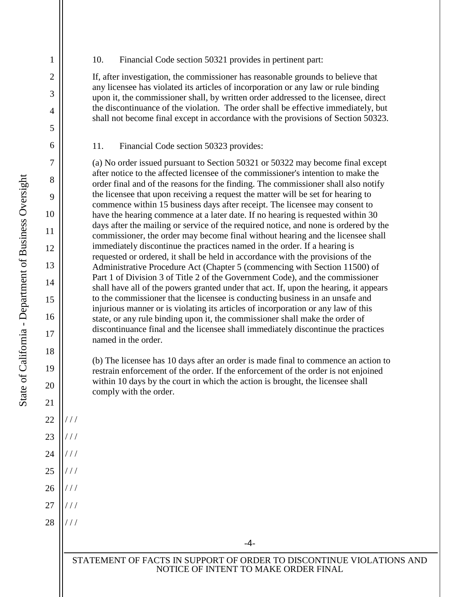## 10. Financial Code section 50321 provides in pertinent part:

If, after investigation, the commissioner has reasonable grounds to believe that any licensee has violated its articles of incorporation or any law or rule binding upon it, the commissioner shall, by written order addressed to the licensee, direct the discontinuance of the violation. The order shall be effective immediately, but shall not become final except in accordance with the provisions of Section 50323.

11. Financial Code section 50323 provides:

(a) No order issued pursuant to Section 50321 or 50322 may become final except after notice to the affected licensee of the commissioner's intention to make the order final and of the reasons for the finding. The commissioner shall also notify the licensee that upon receiving a request the matter will be set for hearing to commence within 15 business days after receipt. The licensee may consent to have the hearing commence at a later date. If no hearing is requested within 30 days after the mailing or service of the required notice, and none is ordered by the commissioner, the order may become final without hearing and the licensee shall immediately discontinue the practices named in the order. If a hearing is requested or ordered, it shall be held in accordance with the provisions of the Administrative Procedure Act (Chapter 5 (commencing with Section 11500) of Part 1 of Division 3 of Title 2 of the Government Code), and the commissioner shall have all of the powers granted under that act. If, upon the hearing, it appears to the commissioner that the licensee is conducting business in an unsafe and injurious manner or is violating its articles of incorporation or any law of this state, or any rule binding upon it, the commissioner shall make the order of discontinuance final and the licensee shall immediately discontinue the practices named in the order.

(b) The licensee has 10 days after an order is made final to commence an action to restrain enforcement of the order. If the enforcement of the order is not enjoined within 10 days by the court in which the action is brought, the licensee shall comply with the order.

-4-

1

2

3

4

5

6

7

8

9

10

11

12

13

14

15

16

17

18

19

20

21

22

/ / /

/ / /

/ / /

/ / /

/ / /

/ / /

/ / /

23

24

25

26

27

28